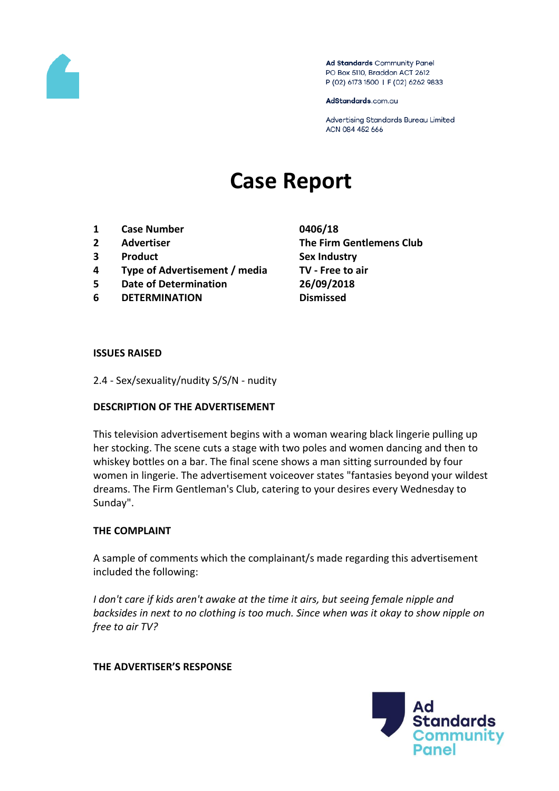

Ad Standards Community Panel PO Box 5110, Braddon ACT 2612 P (02) 6173 1500 | F (02) 6262 9833

AdStandards.com.au

Advertising Standards Bureau Limited ACN 084 452 666

# **Case Report**

- **1 Case Number 0406/18**
- 
- **3 Product Sex Industry**
- **4 Type of Advertisement / media TV - Free to air**
- **5 Date of Determination 26/09/2018**
- **6 DETERMINATION Dismissed**
- **2 Advertiser The Firm Gentlemens Club**

### **ISSUES RAISED**

2.4 - Sex/sexuality/nudity S/S/N - nudity

## **DESCRIPTION OF THE ADVERTISEMENT**

This television advertisement begins with a woman wearing black lingerie pulling up her stocking. The scene cuts a stage with two poles and women dancing and then to whiskey bottles on a bar. The final scene shows a man sitting surrounded by four women in lingerie. The advertisement voiceover states "fantasies beyond your wildest dreams. The Firm Gentleman's Club, catering to your desires every Wednesday to Sunday".

#### **THE COMPLAINT**

A sample of comments which the complainant/s made regarding this advertisement included the following:

*I don't care if kids aren't awake at the time it airs, but seeing female nipple and backsides in next to no clothing is too much. Since when was it okay to show nipple on free to air TV?*

#### **THE ADVERTISER'S RESPONSE**

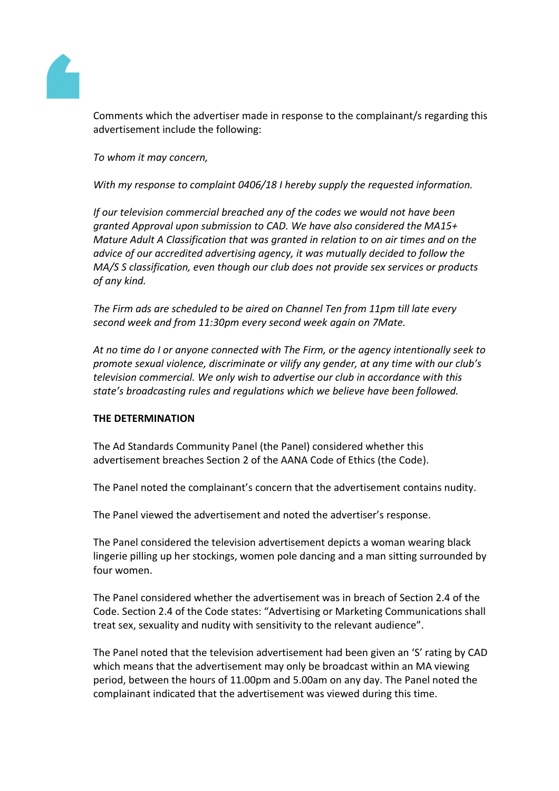

Comments which the advertiser made in response to the complainant/s regarding this advertisement include the following:

*To whom it may concern,*

*With my response to complaint 0406/18 I hereby supply the requested information.*

*If our television commercial breached any of the codes we would not have been granted Approval upon submission to CAD. We have also considered the MA15+ Mature Adult A Classification that was granted in relation to on air times and on the advice of our accredited advertising agency, it was mutually decided to follow the MA/S S classification, even though our club does not provide sex services or products of any kind.*

*The Firm ads are scheduled to be aired on Channel Ten from 11pm till late every second week and from 11:30pm every second week again on 7Mate.*

*At no time do I or anyone connected with The Firm, or the agency intentionally seek to promote sexual violence, discriminate or vilify any gender, at any time with our club's television commercial. We only wish to advertise our club in accordance with this state's broadcasting rules and regulations which we believe have been followed.*

## **THE DETERMINATION**

The Ad Standards Community Panel (the Panel) considered whether this advertisement breaches Section 2 of the AANA Code of Ethics (the Code).

The Panel noted the complainant's concern that the advertisement contains nudity.

The Panel viewed the advertisement and noted the advertiser's response.

The Panel considered the television advertisement depicts a woman wearing black lingerie pilling up her stockings, women pole dancing and a man sitting surrounded by four women.

The Panel considered whether the advertisement was in breach of Section 2.4 of the Code. Section 2.4 of the Code states: "Advertising or Marketing Communications shall treat sex, sexuality and nudity with sensitivity to the relevant audience".

The Panel noted that the television advertisement had been given an 'S' rating by CAD which means that the advertisement may only be broadcast within an MA viewing period, between the hours of 11.00pm and 5.00am on any day. The Panel noted the complainant indicated that the advertisement was viewed during this time.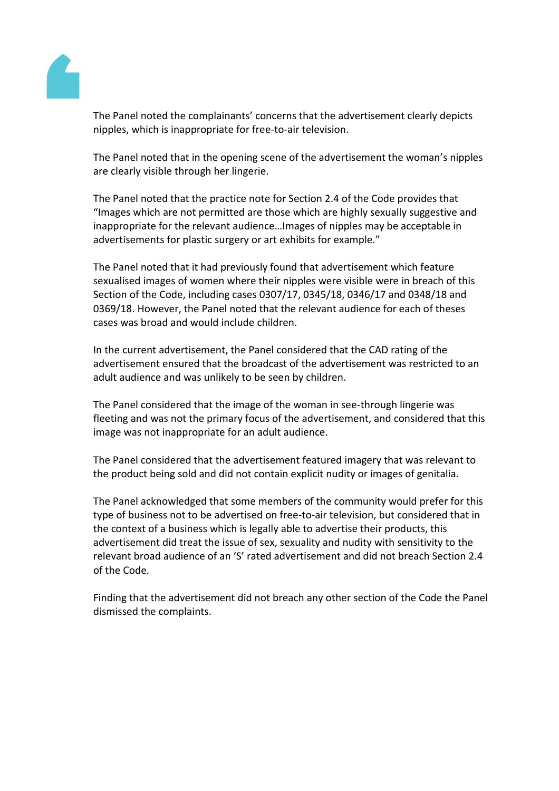

The Panel noted the complainants' concerns that the advertisement clearly depicts nipples, which is inappropriate for free-to-air television.

The Panel noted that in the opening scene of the advertisement the woman's nipples are clearly visible through her lingerie.

The Panel noted that the practice note for Section 2.4 of the Code provides that "Images which are not permitted are those which are highly sexually suggestive and inappropriate for the relevant audience…Images of nipples may be acceptable in advertisements for plastic surgery or art exhibits for example."

The Panel noted that it had previously found that advertisement which feature sexualised images of women where their nipples were visible were in breach of this Section of the Code, including cases 0307/17, 0345/18, 0346/17 and 0348/18 and 0369/18. However, the Panel noted that the relevant audience for each of theses cases was broad and would include children.

In the current advertisement, the Panel considered that the CAD rating of the advertisement ensured that the broadcast of the advertisement was restricted to an adult audience and was unlikely to be seen by children.

The Panel considered that the image of the woman in see-through lingerie was fleeting and was not the primary focus of the advertisement, and considered that this image was not inappropriate for an adult audience.

The Panel considered that the advertisement featured imagery that was relevant to the product being sold and did not contain explicit nudity or images of genitalia.

The Panel acknowledged that some members of the community would prefer for this type of business not to be advertised on free-to-air television, but considered that in the context of a business which is legally able to advertise their products, this advertisement did treat the issue of sex, sexuality and nudity with sensitivity to the relevant broad audience of an 'S' rated advertisement and did not breach Section 2.4 of the Code.

Finding that the advertisement did not breach any other section of the Code the Panel dismissed the complaints.